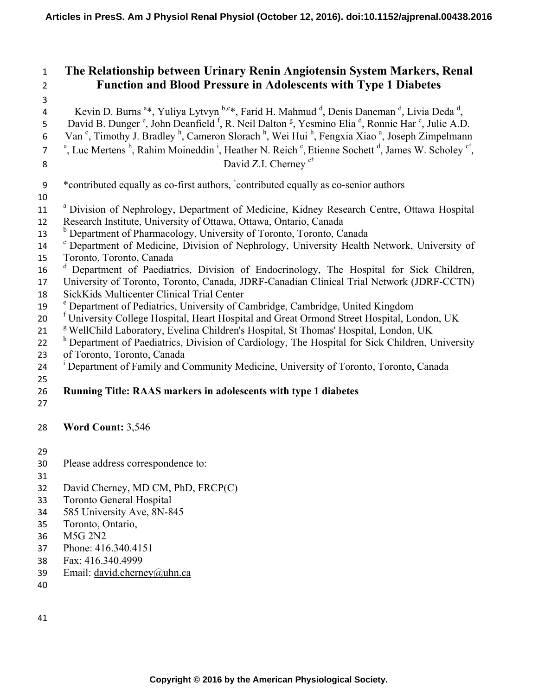1 **The Relationship between Urinary Renin Angiotensin System Markers, Renal**  2 **Function and Blood Pressure in Adolescents with Type 1 Diabetes** 3 4 Kevin D. Burns<sup>a\*</sup>, Yuliya Lytvyn <sup>b,c\*</sup>, Farid H. Mahmud <sup>d</sup>, Denis Daneman <sup>d</sup>, Livia Deda <sup>d</sup>, 5 David B. Dunger<sup>e</sup>, John Deanfield <sup>f</sup>, R. Neil Dalton <sup>g</sup>, Yesmino Elia <sup>d</sup>, Ronnie Har<sup>e</sup>, Julie A.D. 6 Van <sup>c</sup>, Timothy J. Bradley <sup>h</sup>, Cameron Slorach <sup>h</sup>, Wei Hui <sup>h</sup>, Fengxia Xiao <sup>a</sup>, Joseph Zimpelmann and Lange M. Scholar <sup>c</sup> 7 <sup>a</sup>, Luc Mertens <sup>h</sup>, Rahim Moineddin <sup>i</sup>, Heather N. Reich <sup>c</sup>, Etienne Sochett <sup>d</sup>, James W. Scholey <sup>c†</sup>, 8 David Z.I. Cherney <sup>c†</sup>  $\frac{1}{2}$  \* contributed equally as co-first authors,  $\frac{1}{2}$  contributed equally as co-senior authors 10 <sup>a</sup> Division of Nephrology, Department of Medicine, Kidney Research Centre, Ottawa Hospital 12 Research Institute, University of Ottawa, Ottawa, Ontario, Canada <sup>b</sup> Department of Pharmacology, University of Toronto, Toronto, Canada<br>14 <sup>c</sup> Department of Medicine, Division of Nephrology, University Health Network, University of 15 Toronto, Toronto, Canada <sup>d</sup> Department of Paediatrics, Division of Endocrinology, The Hospital for Sick Children, 17 University of Toronto, Toronto, Canada, JDRF-Canadian Clinical Trial Network (JDRF-CCTN) 18 SickKids Multicenter Clinical Trial Center <sup>e</sup> Department of Pediatrics, University of Cambridge, Cambridge, United Kingdom <sup>f</sup> University College Hospital, Heart Hospital and Great Ormond Street Hospital, London, UK 21 <sup>g</sup> WellChild Laboratory, Evelina Children's Hospital, St Thomas' Hospital, London, UK <sup>h</sup> Department of Paediatrics, Division of Cardiology, The Hospital for Sick Children, University 23 of Toronto, Toronto, Canada <sup>i</sup> Department of Family and Community Medicine, University of Toronto, Toronto, Canada 25 26 **Running Title: RAAS markers in adolescents with type 1 diabetes**  27 28 **Word Count:** 3,546 29 30 Please address correspondence to: 31 32 David Cherney, MD CM, PhD, FRCP(C) 33 Toronto General Hospital 34 585 University Ave, 8N-845 35 Toronto, Ontario, 36 M5G 2N2 37 Phone: 416.340.4151 38 Fax: 416.340.4999 39 Email: david.cherney@uhn.ca 40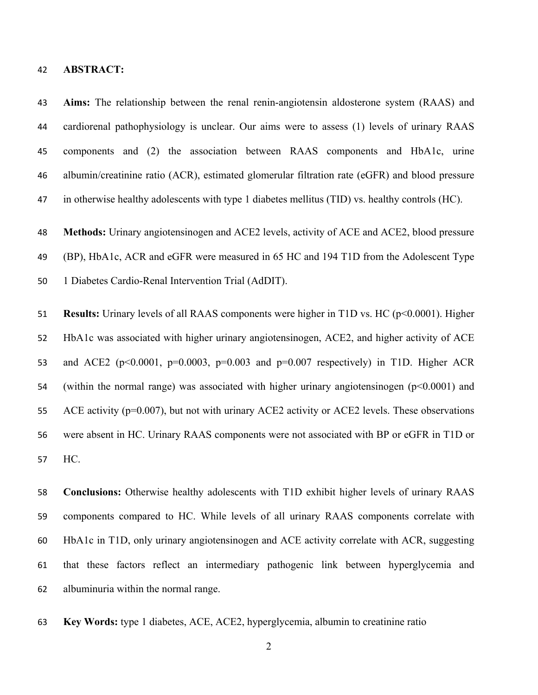#### **ABSTRACT:**

**Aims:** The relationship between the renal renin-angiotensin aldosterone system (RAAS) and cardiorenal pathophysiology is unclear. Our aims were to assess (1) levels of urinary RAAS components and (2) the association between RAAS components and HbA1c, urine albumin/creatinine ratio (ACR), estimated glomerular filtration rate (eGFR) and blood pressure in otherwise healthy adolescents with type 1 diabetes mellitus (TID) vs. healthy controls (HC).

**Methods:** Urinary angiotensinogen and ACE2 levels, activity of ACE and ACE2, blood pressure (BP), HbA1c, ACR and eGFR were measured in 65 HC and 194 T1D from the Adolescent Type 1 Diabetes Cardio-Renal Intervention Trial (AdDIT).

**Results:** Urinary levels of all RAAS components were higher in T1D vs. HC (p<0.0001). Higher HbA1c was associated with higher urinary angiotensinogen, ACE2, and higher activity of ACE and ACE2 (p<0.0001, p=0.0003, p=0.003 and p=0.007 respectively) in T1D. Higher ACR 54 (within the normal range) was associated with higher urinary angiotensinogen ( $p<0.0001$ ) and ACE activity (p=0.007), but not with urinary ACE2 activity or ACE2 levels. These observations were absent in HC. Urinary RAAS components were not associated with BP or eGFR in T1D or HC.

**Conclusions:** Otherwise healthy adolescents with T1D exhibit higher levels of urinary RAAS components compared to HC. While levels of all urinary RAAS components correlate with HbA1c in T1D, only urinary angiotensinogen and ACE activity correlate with ACR, suggesting that these factors reflect an intermediary pathogenic link between hyperglycemia and albuminuria within the normal range.

**Key Words:** type 1 diabetes, ACE, ACE2, hyperglycemia, albumin to creatinine ratio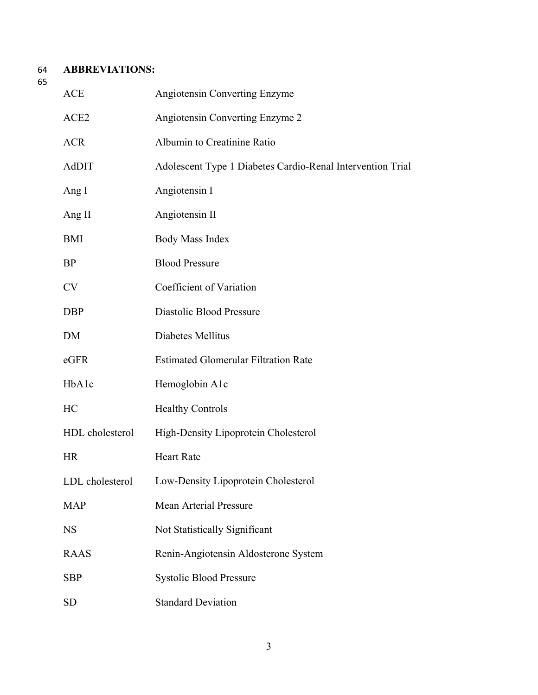## 64 **ABBREVIATIONS:**

| <b>ACE</b>       | <b>Angiotensin Converting Enzyme</b>                       |
|------------------|------------------------------------------------------------|
| ACE <sub>2</sub> | Angiotensin Converting Enzyme 2                            |
| <b>ACR</b>       | Albumin to Creatinine Ratio                                |
| AdDIT            | Adolescent Type 1 Diabetes Cardio-Renal Intervention Trial |
| Ang I            | Angiotensin I                                              |
| Ang II           | Angiotensin II                                             |
| <b>BMI</b>       | <b>Body Mass Index</b>                                     |
| <b>BP</b>        | <b>Blood Pressure</b>                                      |
| <b>CV</b>        | Coefficient of Variation                                   |
| <b>DBP</b>       | Diastolic Blood Pressure                                   |
| DM               | Diabetes Mellitus                                          |
| eGFR             | <b>Estimated Glomerular Filtration Rate</b>                |
| HbAlc            | Hemoglobin A1c                                             |
| HC               | <b>Healthy Controls</b>                                    |
| HDL cholesterol  | High-Density Lipoprotein Cholesterol                       |
| <b>HR</b>        | <b>Heart Rate</b>                                          |
| LDL cholesterol  | Low-Density Lipoprotein Cholesterol                        |
| <b>MAP</b>       | <b>Mean Arterial Pressure</b>                              |
| <b>NS</b>        | Not Statistically Significant                              |
| <b>RAAS</b>      | Renin-Angiotensin Aldosterone System                       |
| <b>SBP</b>       | <b>Systolic Blood Pressure</b>                             |
| <b>SD</b>        | <b>Standard Deviation</b>                                  |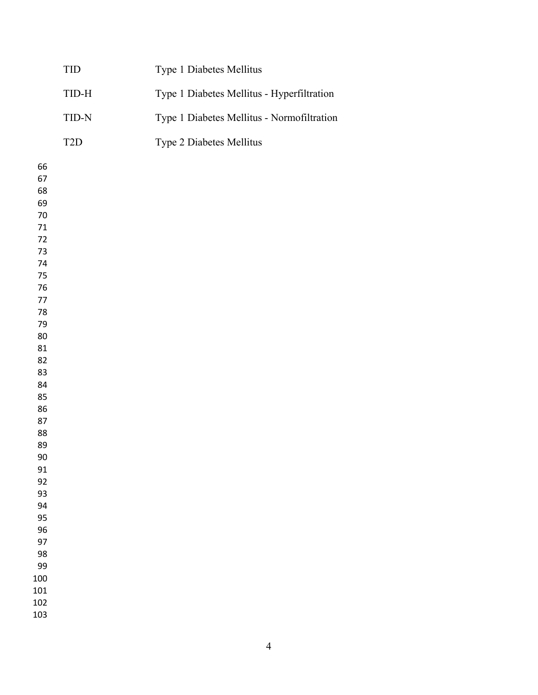|                                                                                                                                                                                                                              | $\ensuremath{\mathsf{TID}}$ | Type 1 Diabetes Mellitus                   |
|------------------------------------------------------------------------------------------------------------------------------------------------------------------------------------------------------------------------------|-----------------------------|--------------------------------------------|
|                                                                                                                                                                                                                              | $\tt TID-H$                 | Type 1 Diabetes Mellitus - Hyperfiltration |
|                                                                                                                                                                                                                              | $\tt TID-N$                 | Type 1 Diabetes Mellitus - Normofiltration |
|                                                                                                                                                                                                                              | T <sub>2</sub> D            | Type 2 Diabetes Mellitus                   |
| 66<br>67<br>68<br>69<br>$70\,$<br>$71\,$<br>$72\,$<br>73<br>74<br>75<br>$76\,$<br>$77\,$<br>78<br>79<br>$80\,$<br>$81\,$<br>82<br>83<br>84<br>85<br>86<br>87<br>88<br>89<br>90<br>$91\,$<br>92<br>93<br>94<br>95<br>96<br>97 |                             |                                            |
| 98<br>99<br>100                                                                                                                                                                                                              |                             |                                            |
| $101\,$                                                                                                                                                                                                                      |                             |                                            |
| 102<br>103                                                                                                                                                                                                                   |                             |                                            |
|                                                                                                                                                                                                                              |                             |                                            |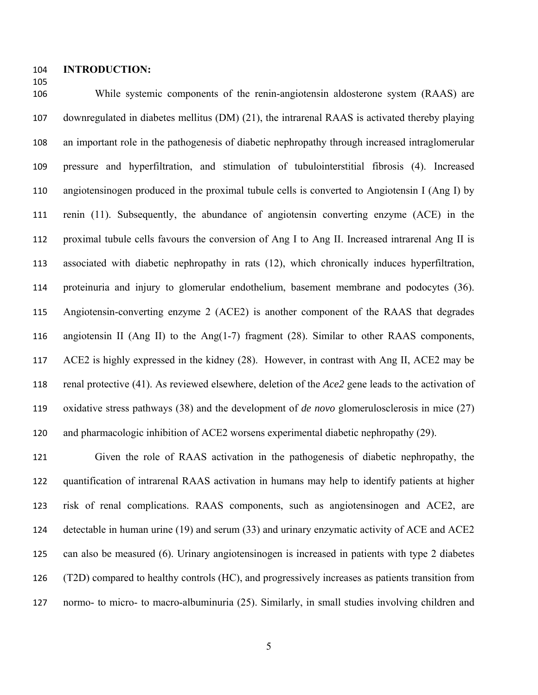#### **INTRODUCTION:**

While systemic components of the renin-angiotensin aldosterone system (RAAS) are downregulated in diabetes mellitus (DM) (21), the intrarenal RAAS is activated thereby playing an important role in the pathogenesis of diabetic nephropathy through increased intraglomerular pressure and hyperfiltration, and stimulation of tubulointerstitial fibrosis (4). Increased angiotensinogen produced in the proximal tubule cells is converted to Angiotensin I (Ang I) by renin (11). Subsequently, the abundance of angiotensin converting enzyme (ACE) in the proximal tubule cells favours the conversion of Ang I to Ang II. Increased intrarenal Ang II is associated with diabetic nephropathy in rats (12), which chronically induces hyperfiltration, proteinuria and injury to glomerular endothelium, basement membrane and podocytes (36). Angiotensin-converting enzyme 2 (ACE2) is another component of the RAAS that degrades angiotensin II (Ang II) to the Ang(1-7) fragment (28). Similar to other RAAS components, ACE2 is highly expressed in the kidney (28). However, in contrast with Ang II, ACE2 may be renal protective (41). As reviewed elsewhere, deletion of the *Ace2* gene leads to the activation of oxidative stress pathways (38) and the development of *de novo* glomerulosclerosis in mice (27) and pharmacologic inhibition of ACE2 worsens experimental diabetic nephropathy (29).

Given the role of RAAS activation in the pathogenesis of diabetic nephropathy, the quantification of intrarenal RAAS activation in humans may help to identify patients at higher risk of renal complications. RAAS components, such as angiotensinogen and ACE2, are detectable in human urine (19) and serum (33) and urinary enzymatic activity of ACE and ACE2 can also be measured (6). Urinary angiotensinogen is increased in patients with type 2 diabetes (T2D) compared to healthy controls (HC), and progressively increases as patients transition from normo- to micro- to macro-albuminuria (25). Similarly, in small studies involving children and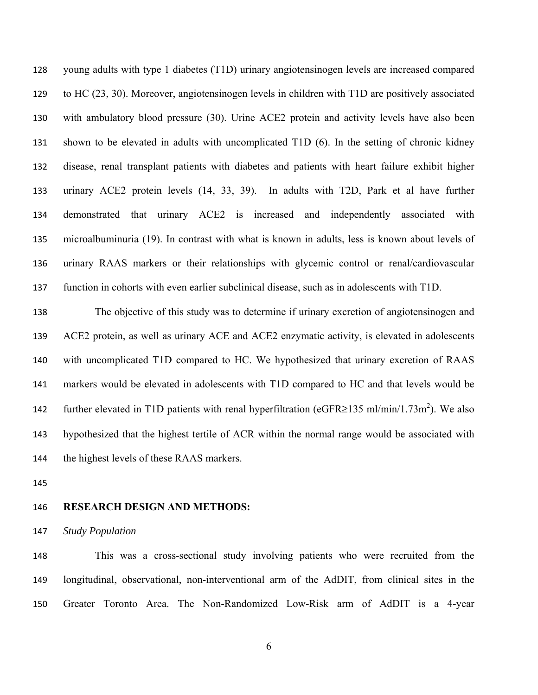young adults with type 1 diabetes (T1D) urinary angiotensinogen levels are increased compared to HC (23, 30). Moreover, angiotensinogen levels in children with T1D are positively associated with ambulatory blood pressure (30). Urine ACE2 protein and activity levels have also been shown to be elevated in adults with uncomplicated T1D (6). In the setting of chronic kidney disease, renal transplant patients with diabetes and patients with heart failure exhibit higher urinary ACE2 protein levels (14, 33, 39). In adults with T2D, Park et al have further demonstrated that urinary ACE2 is increased and independently associated with microalbuminuria (19). In contrast with what is known in adults, less is known about levels of urinary RAAS markers or their relationships with glycemic control or renal/cardiovascular function in cohorts with even earlier subclinical disease, such as in adolescents with T1D.

The objective of this study was to determine if urinary excretion of angiotensinogen and ACE2 protein, as well as urinary ACE and ACE2 enzymatic activity, is elevated in adolescents with uncomplicated T1D compared to HC. We hypothesized that urinary excretion of RAAS markers would be elevated in adolescents with T1D compared to HC and that levels would be further elevated in T1D patients with renal hyperfiltration (eGFR≥135 ml/min/1.73m<sup>2</sup>). We also hypothesized that the highest tertile of ACR within the normal range would be associated with the highest levels of these RAAS markers.

#### **RESEARCH DESIGN AND METHODS:**

*Study Population* 

This was a cross-sectional study involving patients who were recruited from the longitudinal, observational, non-interventional arm of the AdDIT, from clinical sites in the Greater Toronto Area. The Non-Randomized Low-Risk arm of AdDIT is a 4-year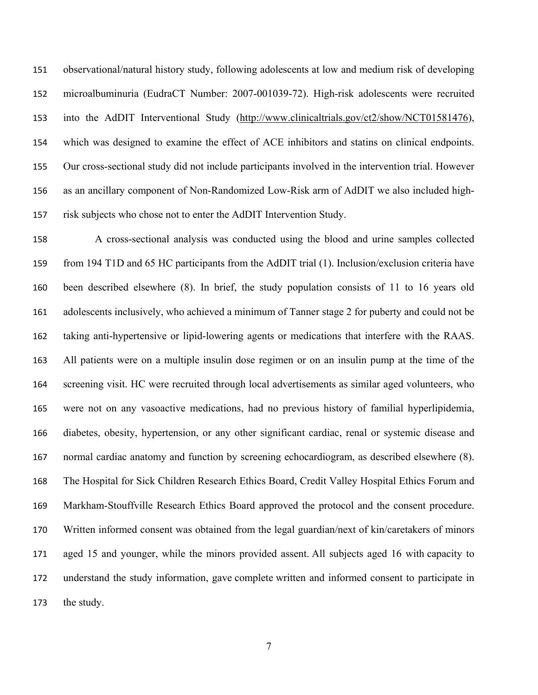observational/natural history study, following adolescents at low and medium risk of developing microalbuminuria (EudraCT Number: 2007-001039-72). High-risk adolescents were recruited into the AdDIT Interventional Study (http://www.clinicaltrials.gov/ct2/show/NCT01581476), which was designed to examine the effect of ACE inhibitors and statins on clinical endpoints. Our cross-sectional study did not include participants involved in the intervention trial. However as an ancillary component of Non-Randomized Low-Risk arm of AdDIT we also included high-risk subjects who chose not to enter the AdDIT Intervention Study.

A cross-sectional analysis was conducted using the blood and urine samples collected from 194 T1D and 65 HC participants from the AdDIT trial (1). Inclusion/exclusion criteria have been described elsewhere (8). In brief, the study population consists of 11 to 16 years old adolescents inclusively, who achieved a minimum of Tanner stage 2 for puberty and could not be taking anti-hypertensive or lipid-lowering agents or medications that interfere with the RAAS. All patients were on a multiple insulin dose regimen or on an insulin pump at the time of the screening visit. HC were recruited through local advertisements as similar aged volunteers, who were not on any vasoactive medications, had no previous history of familial hyperlipidemia, diabetes, obesity, hypertension, or any other significant cardiac, renal or systemic disease and normal cardiac anatomy and function by screening echocardiogram, as described elsewhere (8). The Hospital for Sick Children Research Ethics Board, Credit Valley Hospital Ethics Forum and Markham-Stouffville Research Ethics Board approved the protocol and the consent procedure. Written informed consent was obtained from the legal guardian/next of kin/caretakers of minors aged 15 and younger, while the minors provided assent. All subjects aged 16 with capacity to understand the study information, gave complete written and informed consent to participate in the study.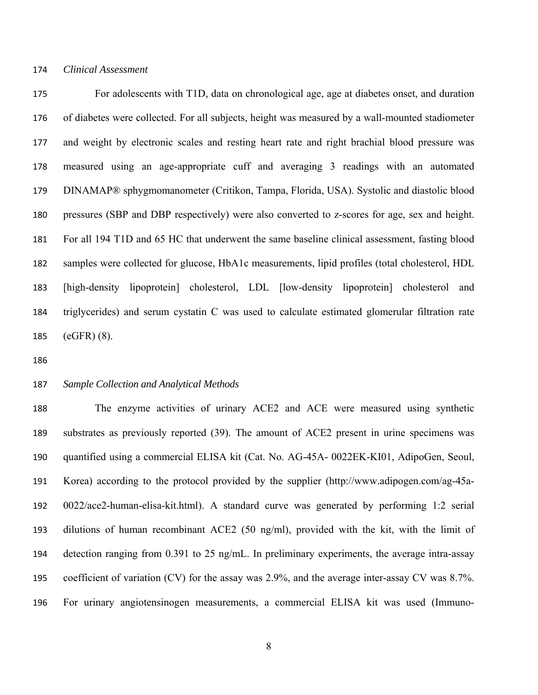*Clinical Assessment* 

For adolescents with T1D, data on chronological age, age at diabetes onset, and duration of diabetes were collected. For all subjects, height was measured by a wall-mounted stadiometer and weight by electronic scales and resting heart rate and right brachial blood pressure was measured using an age-appropriate cuff and averaging 3 readings with an automated DINAMAP® sphygmomanometer (Critikon, Tampa, Florida, USA). Systolic and diastolic blood pressures (SBP and DBP respectively) were also converted to z-scores for age, sex and height. For all 194 T1D and 65 HC that underwent the same baseline clinical assessment, fasting blood samples were collected for glucose, HbA1c measurements, lipid profiles (total cholesterol, HDL [high-density lipoprotein] cholesterol, LDL [low-density lipoprotein] cholesterol and triglycerides) and serum cystatin C was used to calculate estimated glomerular filtration rate (eGFR) (8).

#### *Sample Collection and Analytical Methods*

The enzyme activities of urinary ACE2 and ACE were measured using synthetic substrates as previously reported (39). The amount of ACE2 present in urine specimens was quantified using a commercial ELISA kit (Cat. No. AG-45A- 0022EK-KI01, AdipoGen, Seoul, Korea) according to the protocol provided by the supplier (http://www.adipogen.com/ag-45a-0022/ace2-human-elisa-kit.html). A standard curve was generated by performing 1:2 serial dilutions of human recombinant ACE2 (50 ng/ml), provided with the kit, with the limit of detection ranging from 0.391 to 25 ng/mL. In preliminary experiments, the average intra-assay coefficient of variation (CV) for the assay was 2.9%, and the average inter-assay CV was 8.7%. For urinary angiotensinogen measurements, a commercial ELISA kit was used (Immuno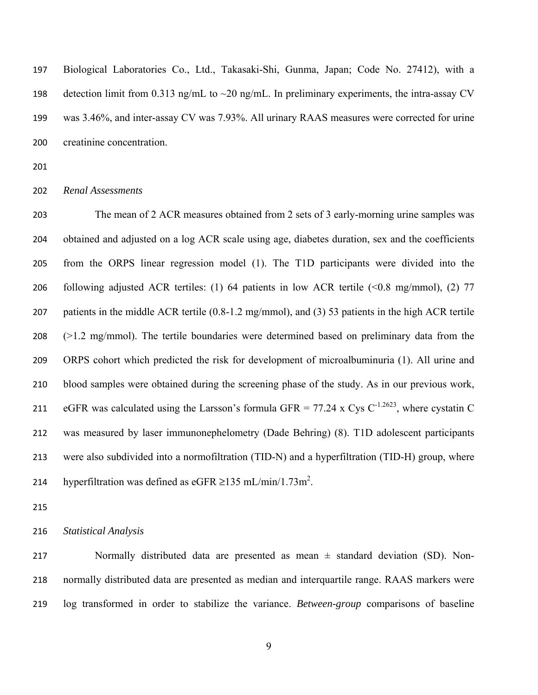Biological Laboratories Co., Ltd., Takasaki-Shi, Gunma, Japan; Code No. 27412), with a 198 detection limit from 0.313 ng/mL to  $\sim$ 20 ng/mL. In preliminary experiments, the intra-assay CV was 3.46%, and inter-assay CV was 7.93%. All urinary RAAS measures were corrected for urine creatinine concentration.

#### *Renal Assessments*

The mean of 2 ACR measures obtained from 2 sets of 3 early-morning urine samples was obtained and adjusted on a log ACR scale using age, diabetes duration, sex and the coefficients from the ORPS linear regression model (1). The T1D participants were divided into the following adjusted ACR tertiles: (1) 64 patients in low ACR tertile (<0.8 mg/mmol), (2) 77 patients in the middle ACR tertile (0.8-1.2 mg/mmol), and (3) 53 patients in the high ACR tertile (>1.2 mg/mmol). The tertile boundaries were determined based on preliminary data from the ORPS cohort which predicted the risk for development of microalbuminuria (1). All urine and blood samples were obtained during the screening phase of the study. As in our previous work, 211 eGFR was calculated using the Larsson's formula GFR = 77.24 x Cys C<sup>-1.2623</sup>, where cystatin C was measured by laser immunonephelometry (Dade Behring) (8). T1D adolescent participants were also subdivided into a normofiltration (TID-N) and a hyperfiltration (TID-H) group, where 214 hyperfiltration was defined as eGFR  $\geq$ 135 mL/min/1.73m<sup>2</sup>.

*Statistical Analysis* 

217 Normally distributed data are presented as mean  $\pm$  standard deviation (SD). Non-normally distributed data are presented as median and interquartile range. RAAS markers were log transformed in order to stabilize the variance. *Between-group* comparisons of baseline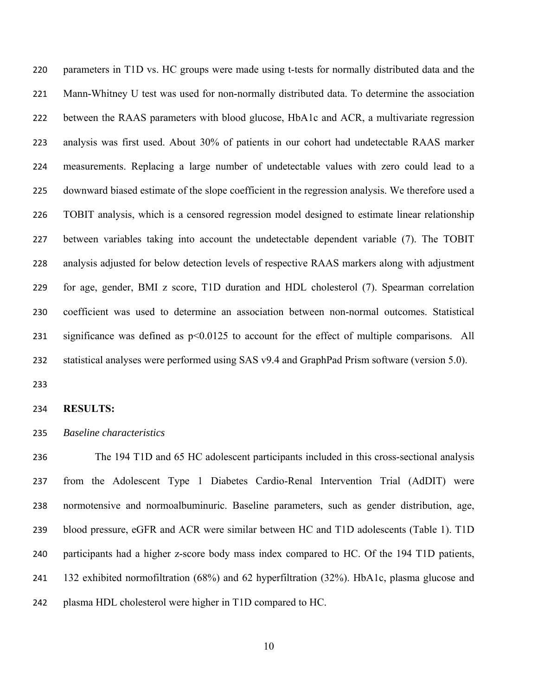parameters in T1D vs. HC groups were made using t-tests for normally distributed data and the Mann-Whitney U test was used for non-normally distributed data. To determine the association 222 between the RAAS parameters with blood glucose, HbA1c and ACR, a multivariate regression analysis was first used. About 30% of patients in our cohort had undetectable RAAS marker measurements. Replacing a large number of undetectable values with zero could lead to a downward biased estimate of the slope coefficient in the regression analysis. We therefore used a TOBIT analysis, which is a censored regression model designed to estimate linear relationship between variables taking into account the undetectable dependent variable (7). The TOBIT analysis adjusted for below detection levels of respective RAAS markers along with adjustment for age, gender, BMI z score, T1D duration and HDL cholesterol (7). Spearman correlation coefficient was used to determine an association between non-normal outcomes. Statistical 231 significance was defined as  $p<0.0125$  to account for the effect of multiple comparisons. All statistical analyses were performed using SAS v9.4 and GraphPad Prism software (version 5.0).

#### **RESULTS:**

*Baseline characteristics* 

The 194 T1D and 65 HC adolescent participants included in this cross-sectional analysis from the Adolescent Type 1 Diabetes Cardio-Renal Intervention Trial (AdDIT) were normotensive and normoalbuminuric. Baseline parameters, such as gender distribution, age, blood pressure, eGFR and ACR were similar between HC and T1D adolescents (Table 1). T1D participants had a higher z-score body mass index compared to HC. Of the 194 T1D patients, 132 exhibited normofiltration (68%) and 62 hyperfiltration (32%). HbA1c, plasma glucose and plasma HDL cholesterol were higher in T1D compared to HC.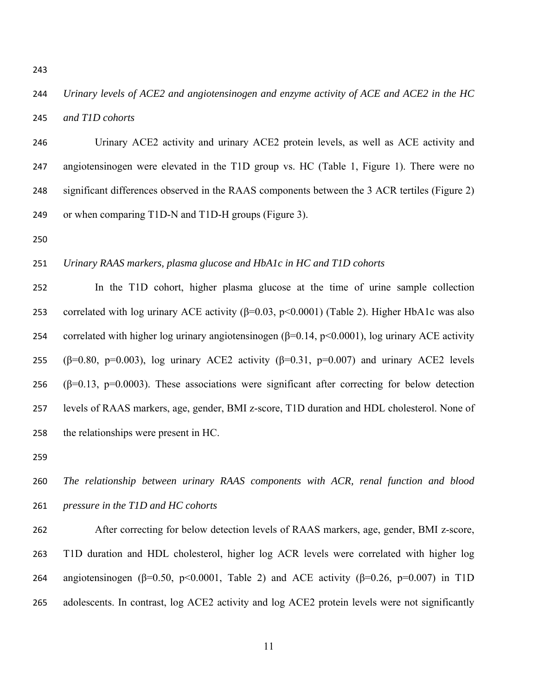*Urinary levels of ACE2 and angiotensinogen and enzyme activity of ACE and ACE2 in the HC and T1D cohorts* 

Urinary ACE2 activity and urinary ACE2 protein levels, as well as ACE activity and angiotensinogen were elevated in the T1D group vs. HC (Table 1, Figure 1). There were no significant differences observed in the RAAS components between the 3 ACR tertiles (Figure 2) or when comparing T1D-N and T1D-H groups (Figure 3).

#### *Urinary RAAS markers, plasma glucose and HbA1c in HC and T1D cohorts*

In the T1D cohort, higher plasma glucose at the time of urine sample collection 253 correlated with log urinary ACE activity  $(β=0.03, p<0.0001)$  (Table 2). Higher HbA1c was also 254 correlated with higher log urinary angiotensinogen ( $\beta$ =0.14,  $p$ <0.0001), log urinary ACE activity 255 ( $\beta$ =0.80, p=0.003), log urinary ACE2 activity ( $\beta$ =0.31, p=0.007) and urinary ACE2 levels 256 ( $\beta$ =0.13, p=0.0003). These associations were significant after correcting for below detection levels of RAAS markers, age, gender, BMI z-score, T1D duration and HDL cholesterol. None of the relationships were present in HC.

*The relationship between urinary RAAS components with ACR, renal function and blood pressure in the T1D and HC cohorts* 

After correcting for below detection levels of RAAS markers, age, gender, BMI z-score, T1D duration and HDL cholesterol, higher log ACR levels were correlated with higher log 264 angiotensinogen ( $\beta$ =0.50, p<0.0001, Table 2) and ACE activity ( $\beta$ =0.26, p=0.007) in T1D 265 adolescents. In contrast, log ACE2 activity and log ACE2 protein levels were not significantly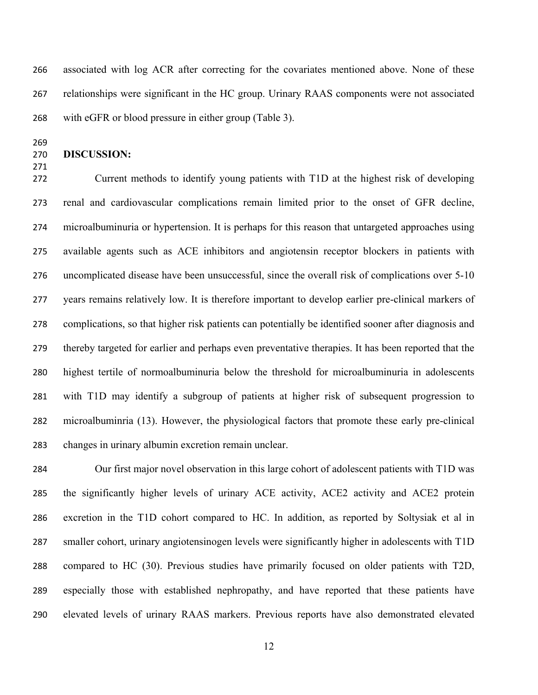associated with log ACR after correcting for the covariates mentioned above. None of these relationships were significant in the HC group. Urinary RAAS components were not associated with eGFR or blood pressure in either group (Table 3).

#### **DISCUSSION:**

Current methods to identify young patients with T1D at the highest risk of developing renal and cardiovascular complications remain limited prior to the onset of GFR decline, microalbuminuria or hypertension. It is perhaps for this reason that untargeted approaches using available agents such as ACE inhibitors and angiotensin receptor blockers in patients with uncomplicated disease have been unsuccessful, since the overall risk of complications over 5-10 years remains relatively low. It is therefore important to develop earlier pre-clinical markers of complications, so that higher risk patients can potentially be identified sooner after diagnosis and thereby targeted for earlier and perhaps even preventative therapies. It has been reported that the highest tertile of normoalbuminuria below the threshold for microalbuminuria in adolescents with T1D may identify a subgroup of patients at higher risk of subsequent progression to microalbuminria (13). However, the physiological factors that promote these early pre-clinical changes in urinary albumin excretion remain unclear.

Our first major novel observation in this large cohort of adolescent patients with T1D was the significantly higher levels of urinary ACE activity, ACE2 activity and ACE2 protein excretion in the T1D cohort compared to HC. In addition, as reported by Soltysiak et al in smaller cohort, urinary angiotensinogen levels were significantly higher in adolescents with T1D compared to HC (30). Previous studies have primarily focused on older patients with T2D, especially those with established nephropathy, and have reported that these patients have elevated levels of urinary RAAS markers. Previous reports have also demonstrated elevated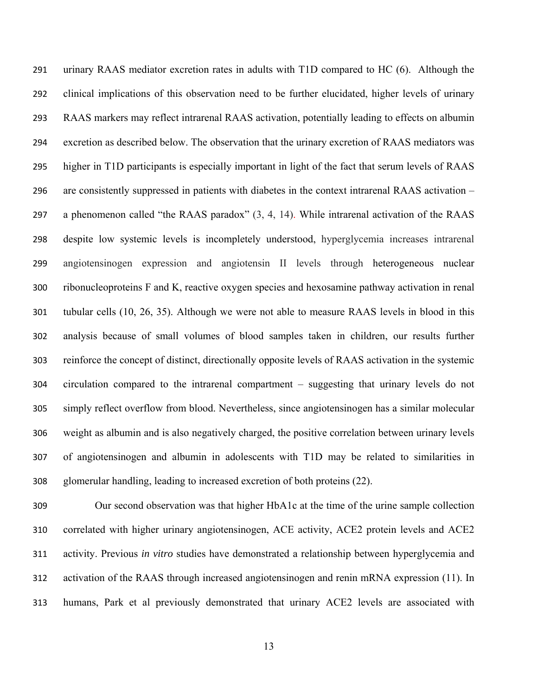urinary RAAS mediator excretion rates in adults with T1D compared to HC (6). Although the clinical implications of this observation need to be further elucidated, higher levels of urinary RAAS markers may reflect intrarenal RAAS activation, potentially leading to effects on albumin excretion as described below. The observation that the urinary excretion of RAAS mediators was higher in T1D participants is especially important in light of the fact that serum levels of RAAS are consistently suppressed in patients with diabetes in the context intrarenal RAAS activation – a phenomenon called "the RAAS paradox" (3, 4, 14). While intrarenal activation of the RAAS despite low systemic levels is incompletely understood, hyperglycemia increases intrarenal angiotensinogen expression and angiotensin II levels through heterogeneous nuclear ribonucleoproteins F and K, reactive oxygen species and hexosamine pathway activation in renal tubular cells (10, 26, 35). Although we were not able to measure RAAS levels in blood in this analysis because of small volumes of blood samples taken in children, our results further reinforce the concept of distinct, directionally opposite levels of RAAS activation in the systemic circulation compared to the intrarenal compartment – suggesting that urinary levels do not simply reflect overflow from blood. Nevertheless, since angiotensinogen has a similar molecular weight as albumin and is also negatively charged, the positive correlation between urinary levels of angiotensinogen and albumin in adolescents with T1D may be related to similarities in glomerular handling, leading to increased excretion of both proteins (22).

Our second observation was that higher HbA1c at the time of the urine sample collection correlated with higher urinary angiotensinogen, ACE activity, ACE2 protein levels and ACE2 activity. Previous *in vitro* studies have demonstrated a relationship between hyperglycemia and activation of the RAAS through increased angiotensinogen and renin mRNA expression (11). In humans, Park et al previously demonstrated that urinary ACE2 levels are associated with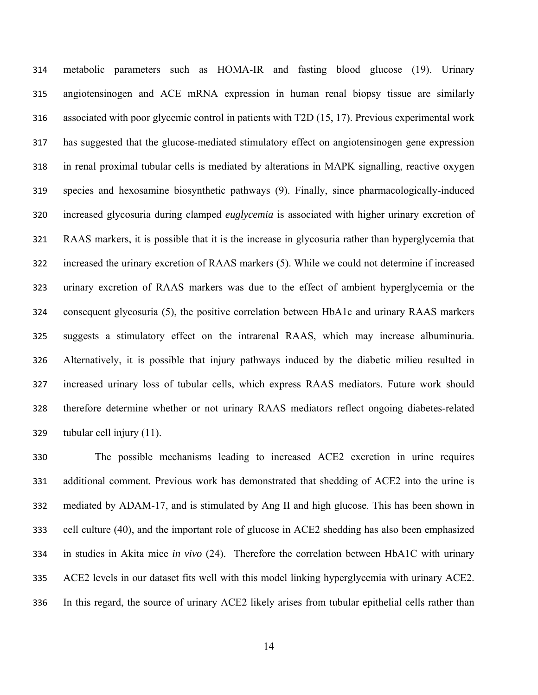metabolic parameters such as HOMA-IR and fasting blood glucose (19). Urinary angiotensinogen and ACE mRNA expression in human renal biopsy tissue are similarly associated with poor glycemic control in patients with T2D (15, 17). Previous experimental work has suggested that the glucose-mediated stimulatory effect on angiotensinogen gene expression in renal proximal tubular cells is mediated by alterations in MAPK signalling, reactive oxygen species and hexosamine biosynthetic pathways (9). Finally, since pharmacologically-induced increased glycosuria during clamped *euglycemia* is associated with higher urinary excretion of RAAS markers, it is possible that it is the increase in glycosuria rather than hyperglycemia that increased the urinary excretion of RAAS markers (5). While we could not determine if increased urinary excretion of RAAS markers was due to the effect of ambient hyperglycemia or the consequent glycosuria (5), the positive correlation between HbA1c and urinary RAAS markers suggests a stimulatory effect on the intrarenal RAAS, which may increase albuminuria. Alternatively, it is possible that injury pathways induced by the diabetic milieu resulted in increased urinary loss of tubular cells, which express RAAS mediators. Future work should therefore determine whether or not urinary RAAS mediators reflect ongoing diabetes-related tubular cell injury (11).

The possible mechanisms leading to increased ACE2 excretion in urine requires additional comment. Previous work has demonstrated that shedding of ACE2 into the urine is mediated by ADAM-17, and is stimulated by Ang II and high glucose. This has been shown in cell culture (40), and the important role of glucose in ACE2 shedding has also been emphasized in studies in Akita mice *in vivo* (24). Therefore the correlation between HbA1C with urinary ACE2 levels in our dataset fits well with this model linking hyperglycemia with urinary ACE2. In this regard, the source of urinary ACE2 likely arises from tubular epithelial cells rather than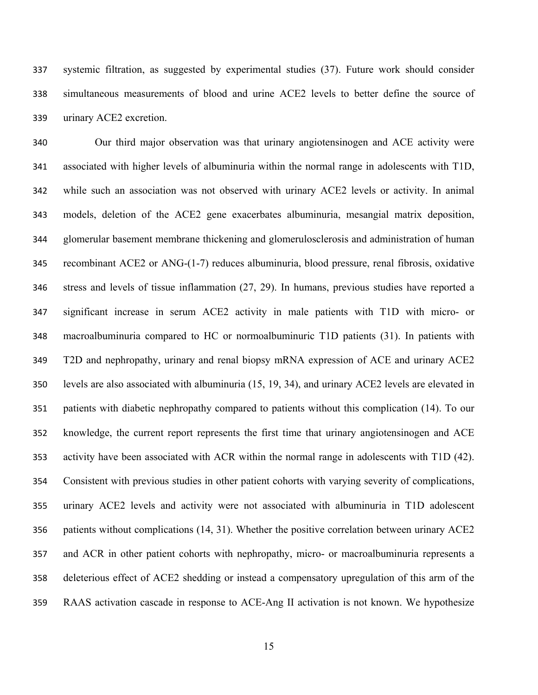systemic filtration, as suggested by experimental studies (37). Future work should consider simultaneous measurements of blood and urine ACE2 levels to better define the source of urinary ACE2 excretion.

Our third major observation was that urinary angiotensinogen and ACE activity were associated with higher levels of albuminuria within the normal range in adolescents with T1D, while such an association was not observed with urinary ACE2 levels or activity. In animal models, deletion of the ACE2 gene exacerbates albuminuria, mesangial matrix deposition, glomerular basement membrane thickening and glomerulosclerosis and administration of human recombinant ACE2 or ANG-(1-7) reduces albuminuria, blood pressure, renal fibrosis, oxidative stress and levels of tissue inflammation (27, 29). In humans, previous studies have reported a significant increase in serum ACE2 activity in male patients with T1D with micro- or macroalbuminuria compared to HC or normoalbuminuric T1D patients (31). In patients with T2D and nephropathy, urinary and renal biopsy mRNA expression of ACE and urinary ACE2 levels are also associated with albuminuria (15, 19, 34), and urinary ACE2 levels are elevated in patients with diabetic nephropathy compared to patients without this complication (14). To our knowledge, the current report represents the first time that urinary angiotensinogen and ACE activity have been associated with ACR within the normal range in adolescents with T1D (42). Consistent with previous studies in other patient cohorts with varying severity of complications, urinary ACE2 levels and activity were not associated with albuminuria in T1D adolescent patients without complications (14, 31). Whether the positive correlation between urinary ACE2 and ACR in other patient cohorts with nephropathy, micro- or macroalbuminuria represents a deleterious effect of ACE2 shedding or instead a compensatory upregulation of this arm of the RAAS activation cascade in response to ACE-Ang II activation is not known. We hypothesize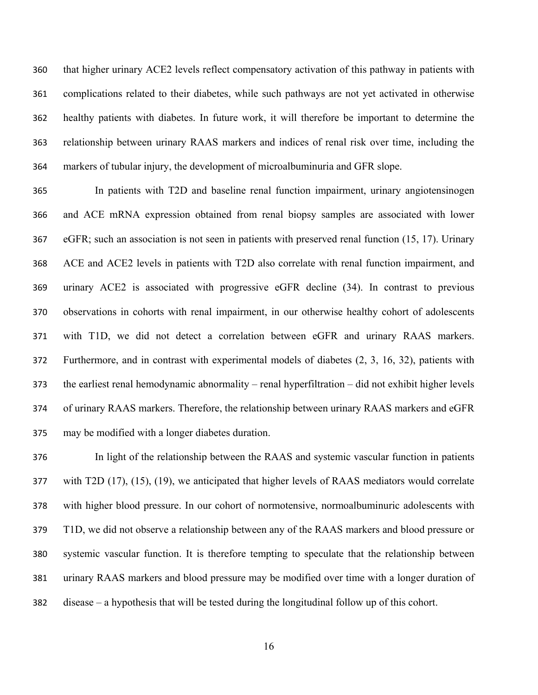that higher urinary ACE2 levels reflect compensatory activation of this pathway in patients with complications related to their diabetes, while such pathways are not yet activated in otherwise healthy patients with diabetes. In future work, it will therefore be important to determine the relationship between urinary RAAS markers and indices of renal risk over time, including the markers of tubular injury, the development of microalbuminuria and GFR slope.

In patients with T2D and baseline renal function impairment, urinary angiotensinogen and ACE mRNA expression obtained from renal biopsy samples are associated with lower eGFR; such an association is not seen in patients with preserved renal function (15, 17). Urinary ACE and ACE2 levels in patients with T2D also correlate with renal function impairment, and urinary ACE2 is associated with progressive eGFR decline (34). In contrast to previous observations in cohorts with renal impairment, in our otherwise healthy cohort of adolescents with T1D, we did not detect a correlation between eGFR and urinary RAAS markers. Furthermore, and in contrast with experimental models of diabetes (2, 3, 16, 32), patients with the earliest renal hemodynamic abnormality – renal hyperfiltration – did not exhibit higher levels of urinary RAAS markers. Therefore, the relationship between urinary RAAS markers and eGFR may be modified with a longer diabetes duration.

In light of the relationship between the RAAS and systemic vascular function in patients with T2D (17), (15), (19), we anticipated that higher levels of RAAS mediators would correlate with higher blood pressure. In our cohort of normotensive, normoalbuminuric adolescents with T1D, we did not observe a relationship between any of the RAAS markers and blood pressure or systemic vascular function. It is therefore tempting to speculate that the relationship between urinary RAAS markers and blood pressure may be modified over time with a longer duration of disease – a hypothesis that will be tested during the longitudinal follow up of this cohort.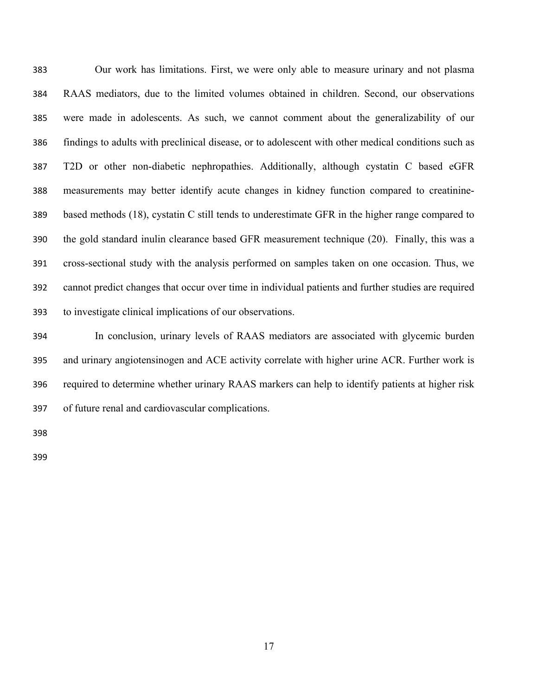Our work has limitations. First, we were only able to measure urinary and not plasma RAAS mediators, due to the limited volumes obtained in children. Second, our observations were made in adolescents. As such, we cannot comment about the generalizability of our findings to adults with preclinical disease, or to adolescent with other medical conditions such as T2D or other non-diabetic nephropathies. Additionally, although cystatin C based eGFR measurements may better identify acute changes in kidney function compared to creatinine-based methods (18), cystatin C still tends to underestimate GFR in the higher range compared to the gold standard inulin clearance based GFR measurement technique (20). Finally, this was a cross-sectional study with the analysis performed on samples taken on one occasion. Thus, we cannot predict changes that occur over time in individual patients and further studies are required to investigate clinical implications of our observations.

In conclusion, urinary levels of RAAS mediators are associated with glycemic burden and urinary angiotensinogen and ACE activity correlate with higher urine ACR. Further work is required to determine whether urinary RAAS markers can help to identify patients at higher risk of future renal and cardiovascular complications.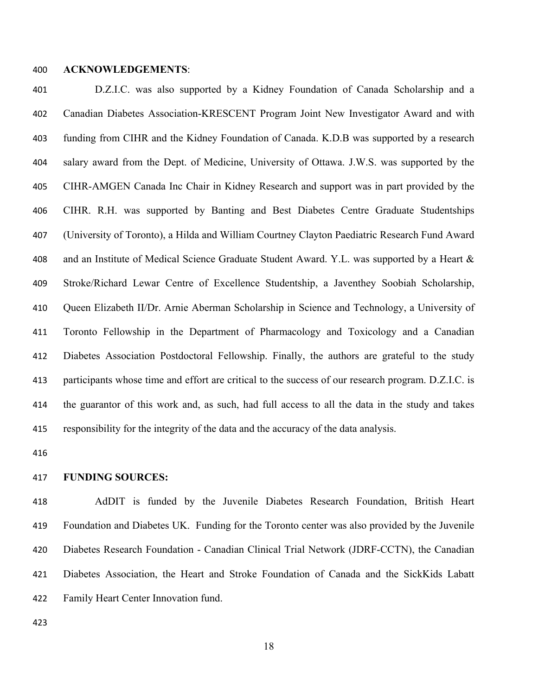#### **ACKNOWLEDGEMENTS**:

D.Z.I.C. was also supported by a Kidney Foundation of Canada Scholarship and a Canadian Diabetes Association-KRESCENT Program Joint New Investigator Award and with funding from CIHR and the Kidney Foundation of Canada. K.D.B was supported by a research salary award from the Dept. of Medicine, University of Ottawa. J.W.S. was supported by the CIHR-AMGEN Canada Inc Chair in Kidney Research and support was in part provided by the CIHR. R.H. was supported by Banting and Best Diabetes Centre Graduate Studentships (University of Toronto), a Hilda and William Courtney Clayton Paediatric Research Fund Award 408 and an Institute of Medical Science Graduate Student Award. Y.L. was supported by a Heart & Stroke/Richard Lewar Centre of Excellence Studentship, a Javenthey Soobiah Scholarship, Queen Elizabeth II/Dr. Arnie Aberman Scholarship in Science and Technology, a University of Toronto Fellowship in the Department of Pharmacology and Toxicology and a Canadian Diabetes Association Postdoctoral Fellowship. Finally, the authors are grateful to the study participants whose time and effort are critical to the success of our research program. D.Z.I.C. is the guarantor of this work and, as such, had full access to all the data in the study and takes responsibility for the integrity of the data and the accuracy of the data analysis.

#### **FUNDING SOURCES:**

AdDIT is funded by the Juvenile Diabetes Research Foundation, British Heart Foundation and Diabetes UK. Funding for the Toronto center was also provided by the Juvenile Diabetes Research Foundation - Canadian Clinical Trial Network (JDRF-CCTN), the Canadian Diabetes Association, the Heart and Stroke Foundation of Canada and the SickKids Labatt Family Heart Center Innovation fund.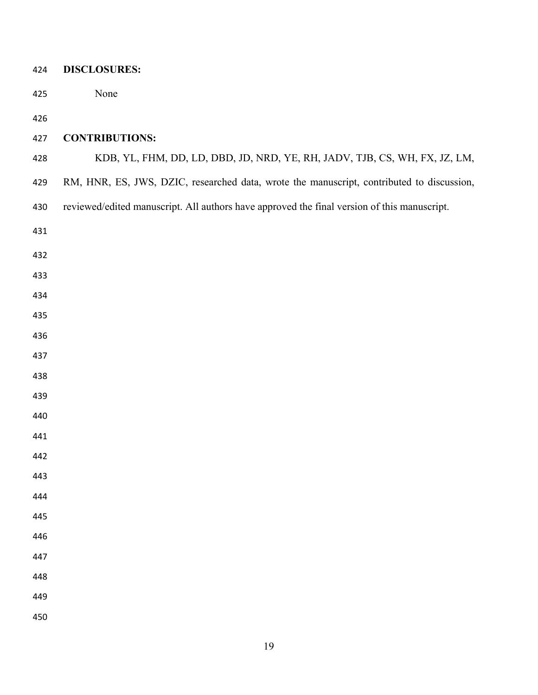| 424 | <b>DISCLOSURES:</b>                                                                         |
|-----|---------------------------------------------------------------------------------------------|
| 425 | None                                                                                        |
| 426 |                                                                                             |
| 427 | <b>CONTRIBUTIONS:</b>                                                                       |
| 428 | KDB, YL, FHM, DD, LD, DBD, JD, NRD, YE, RH, JADV, TJB, CS, WH, FX, JZ, LM,                  |
| 429 | RM, HNR, ES, JWS, DZIC, researched data, wrote the manuscript, contributed to discussion,   |
| 430 | reviewed/edited manuscript. All authors have approved the final version of this manuscript. |
| 431 |                                                                                             |
| 432 |                                                                                             |
| 433 |                                                                                             |
| 434 |                                                                                             |
| 435 |                                                                                             |
| 436 |                                                                                             |
| 437 |                                                                                             |
| 438 |                                                                                             |
| 439 |                                                                                             |
| 440 |                                                                                             |
| 441 |                                                                                             |
| 442 |                                                                                             |
| 443 |                                                                                             |
| 444 |                                                                                             |
| 445 |                                                                                             |
| 446 |                                                                                             |
| 447 |                                                                                             |
| 448 |                                                                                             |
| 449 |                                                                                             |
| 450 |                                                                                             |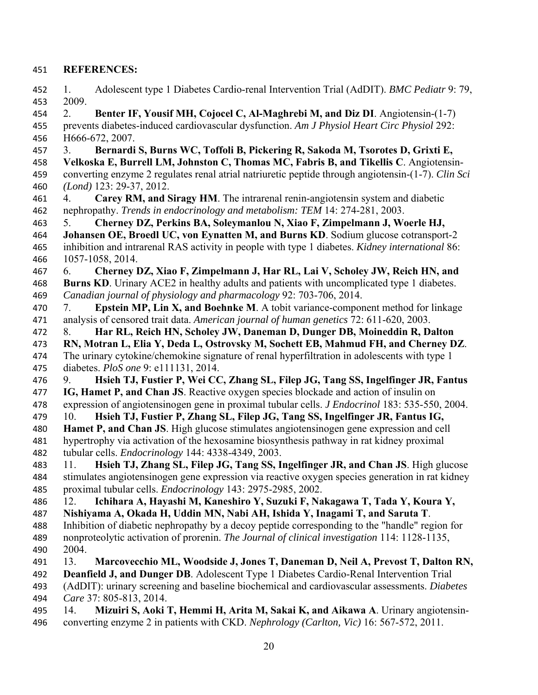### **REFERENCES:**

- 1. Adolescent type 1 Diabetes Cardio-renal Intervention Trial (AdDIT). *BMC Pediatr* 9: 79, 2009.
- 2. **Benter IF, Yousif MH, Cojocel C, Al-Maghrebi M, and Diz DI**. Angiotensin-(1-7)
- prevents diabetes-induced cardiovascular dysfunction. *Am J Physiol Heart Circ Physiol* 292: H666-672, 2007.
- 3. **Bernardi S, Burns WC, Toffoli B, Pickering R, Sakoda M, Tsorotes D, Grixti E,**
- **Velkoska E, Burrell LM, Johnston C, Thomas MC, Fabris B, and Tikellis C**. Angiotensin-converting enzyme 2 regulates renal atrial natriuretic peptide through angiotensin-(1-7). *Clin Sci*
- *(Lond)* 123: 29-37, 2012.
- 4. **Carey RM, and Siragy HM**. The intrarenal renin-angiotensin system and diabetic nephropathy. *Trends in endocrinology and metabolism: TEM* 14: 274-281, 2003.
- 5. **Cherney DZ, Perkins BA, Soleymanlou N, Xiao F, Zimpelmann J, Woerle HJ,**
- **Johansen OE, Broedl UC, von Eynatten M, and Burns KD**. Sodium glucose cotransport-2 inhibition and intrarenal RAS activity in people with type 1 diabetes. *Kidney international* 86: 1057-1058, 2014.
- 6. **Cherney DZ, Xiao F, Zimpelmann J, Har RL, Lai V, Scholey JW, Reich HN, and**
- **Burns KD**. Urinary ACE2 in healthy adults and patients with uncomplicated type 1 diabetes. *Canadian journal of physiology and pharmacology* 92: 703-706, 2014.
- 7. **Epstein MP, Lin X, and Boehnke M**. A tobit variance-component method for linkage analysis of censored trait data. *American journal of human genetics* 72: 611-620, 2003.
- 8. **Har RL, Reich HN, Scholey JW, Daneman D, Dunger DB, Moineddin R, Dalton**
- **RN, Motran L, Elia Y, Deda L, Ostrovsky M, Sochett EB, Mahmud FH, and Cherney DZ**.
- The urinary cytokine/chemokine signature of renal hyperfiltration in adolescents with type 1 diabetes. *PloS one* 9: e111131, 2014.
- 9. **Hsieh TJ, Fustier P, Wei CC, Zhang SL, Filep JG, Tang SS, Ingelfinger JR, Fantus IG, Hamet P, and Chan JS**. Reactive oxygen species blockade and action of insulin on
- expression of angiotensinogen gene in proximal tubular cells. *J Endocrinol* 183: 535-550, 2004.
- 10. **Hsieh TJ, Fustier P, Zhang SL, Filep JG, Tang SS, Ingelfinger JR, Fantus IG,**
- **Hamet P, and Chan JS**. High glucose stimulates angiotensinogen gene expression and cell hypertrophy via activation of the hexosamine biosynthesis pathway in rat kidney proximal
- tubular cells. *Endocrinology* 144: 4338-4349, 2003.
- 11. **Hsieh TJ, Zhang SL, Filep JG, Tang SS, Ingelfinger JR, and Chan JS**. High glucose stimulates angiotensinogen gene expression via reactive oxygen species generation in rat kidney proximal tubular cells. *Endocrinology* 143: 2975-2985, 2002.
- 12. **Ichihara A, Hayashi M, Kaneshiro Y, Suzuki F, Nakagawa T, Tada Y, Koura Y,**
- **Nishiyama A, Okada H, Uddin MN, Nabi AH, Ishida Y, Inagami T, and Saruta T**.
- Inhibition of diabetic nephropathy by a decoy peptide corresponding to the "handle" region for nonproteolytic activation of prorenin. *The Journal of clinical investigation* 114: 1128-1135, 2004.
- 13. **Marcovecchio ML, Woodside J, Jones T, Daneman D, Neil A, Prevost T, Dalton RN,**
- **Deanfield J, and Dunger DB**. Adolescent Type 1 Diabetes Cardio-Renal Intervention Trial
- (AdDIT): urinary screening and baseline biochemical and cardiovascular assessments. *Diabetes*
- *Care* 37: 805-813, 2014. 14. **Mizuiri S, Aoki T, Hemmi H, Arita M, Sakai K, and Aikawa A**. Urinary angiotensin-
- converting enzyme 2 in patients with CKD. *Nephrology (Carlton, Vic)* 16: 567-572, 2011.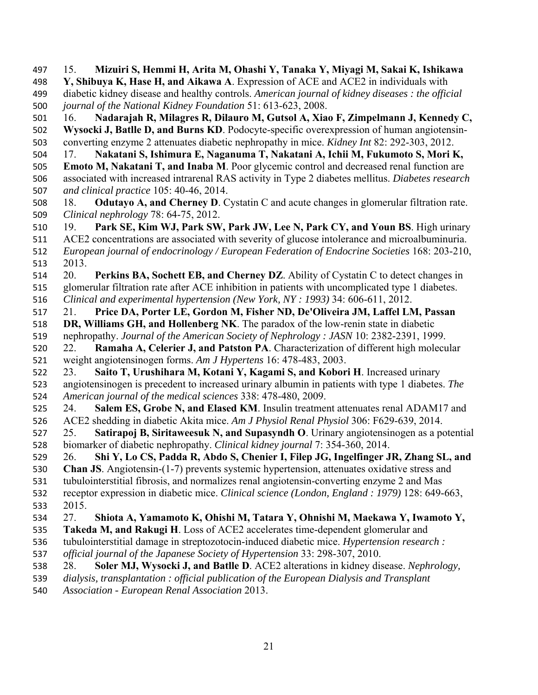15. **Mizuiri S, Hemmi H, Arita M, Ohashi Y, Tanaka Y, Miyagi M, Sakai K, Ishikawa Y, Shibuya K, Hase H, and Aikawa A**. Expression of ACE and ACE2 in individuals with diabetic kidney disease and healthy controls. *American journal of kidney diseases : the official journal of the National Kidney Foundation* 51: 613-623, 2008. 16. **Nadarajah R, Milagres R, Dilauro M, Gutsol A, Xiao F, Zimpelmann J, Kennedy C, Wysocki J, Batlle D, and Burns KD**. Podocyte-specific overexpression of human angiotensin-converting enzyme 2 attenuates diabetic nephropathy in mice. *Kidney Int* 82: 292-303, 2012. 17. **Nakatani S, Ishimura E, Naganuma T, Nakatani A, Ichii M, Fukumoto S, Mori K, Emoto M, Nakatani T, and Inaba M**. Poor glycemic control and decreased renal function are associated with increased intrarenal RAS activity in Type 2 diabetes mellitus. *Diabetes research and clinical practice* 105: 40-46, 2014. 18. **Odutayo A, and Cherney D**. Cystatin C and acute changes in glomerular filtration rate. *Clinical nephrology* 78: 64-75, 2012. 19. **Park SE, Kim WJ, Park SW, Park JW, Lee N, Park CY, and Youn BS**. High urinary ACE2 concentrations are associated with severity of glucose intolerance and microalbuminuria. *European journal of endocrinology / European Federation of Endocrine Societies* 168: 203-210, 2013. 20. **Perkins BA, Sochett EB, and Cherney DZ**. Ability of Cystatin C to detect changes in glomerular filtration rate after ACE inhibition in patients with uncomplicated type 1 diabetes. *Clinical and experimental hypertension (New York, NY : 1993)* 34: 606-611, 2012. 21. **Price DA, Porter LE, Gordon M, Fisher ND, De'Oliveira JM, Laffel LM, Passan DR, Williams GH, and Hollenberg NK**. The paradox of the low-renin state in diabetic nephropathy. *Journal of the American Society of Nephrology : JASN* 10: 2382-2391, 1999. 22. **Ramaha A, Celerier J, and Patston PA**. Characterization of different high molecular weight angiotensinogen forms. *Am J Hypertens* 16: 478-483, 2003. 23. **Saito T, Urushihara M, Kotani Y, Kagami S, and Kobori H**. Increased urinary angiotensinogen is precedent to increased urinary albumin in patients with type 1 diabetes. *The American journal of the medical sciences* 338: 478-480, 2009. 24. **Salem ES, Grobe N, and Elased KM**. Insulin treatment attenuates renal ADAM17 and ACE2 shedding in diabetic Akita mice. *Am J Physiol Renal Physiol* 306: F629-639, 2014. 25. **Satirapoj B, Siritaweesuk N, and Supasyndh O**. Urinary angiotensinogen as a potential biomarker of diabetic nephropathy. *Clinical kidney journal* 7: 354-360, 2014. 26. **Shi Y, Lo CS, Padda R, Abdo S, Chenier I, Filep JG, Ingelfinger JR, Zhang SL, and Chan JS**. Angiotensin-(1-7) prevents systemic hypertension, attenuates oxidative stress and tubulointerstitial fibrosis, and normalizes renal angiotensin-converting enzyme 2 and Mas receptor expression in diabetic mice. *Clinical science (London, England : 1979)* 128: 649-663, 2015. 27. **Shiota A, Yamamoto K, Ohishi M, Tatara Y, Ohnishi M, Maekawa Y, Iwamoto Y, Takeda M, and Rakugi H**. Loss of ACE2 accelerates time-dependent glomerular and tubulointerstitial damage in streptozotocin-induced diabetic mice. *Hypertension research : official journal of the Japanese Society of Hypertension* 33: 298-307, 2010. 28. **Soler MJ, Wysocki J, and Batlle D**. ACE2 alterations in kidney disease. *Nephrology, dialysis, transplantation : official publication of the European Dialysis and Transplant Association - European Renal Association* 2013.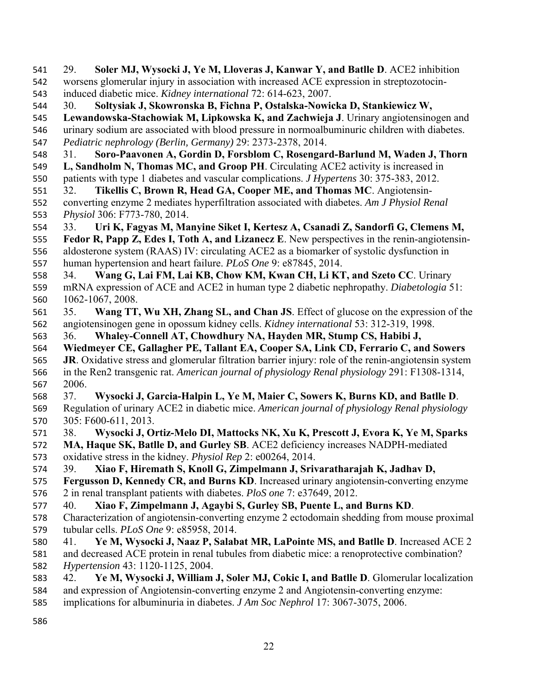29. **Soler MJ, Wysocki J, Ye M, Lloveras J, Kanwar Y, and Batlle D**. ACE2 inhibition worsens glomerular injury in association with increased ACE expression in streptozotocin-induced diabetic mice. *Kidney international* 72: 614-623, 2007. 30. **Soltysiak J, Skowronska B, Fichna P, Ostalska-Nowicka D, Stankiewicz W, Lewandowska-Stachowiak M, Lipkowska K, and Zachwieja J**. Urinary angiotensinogen and urinary sodium are associated with blood pressure in normoalbuminuric children with diabetes. *Pediatric nephrology (Berlin, Germany)* 29: 2373-2378, 2014. 31. **Soro-Paavonen A, Gordin D, Forsblom C, Rosengard-Barlund M, Waden J, Thorn L, Sandholm N, Thomas MC, and Groop PH**. Circulating ACE2 activity is increased in patients with type 1 diabetes and vascular complications. *J Hypertens* 30: 375-383, 2012. 32. **Tikellis C, Brown R, Head GA, Cooper ME, and Thomas MC**. Angiotensin-converting enzyme 2 mediates hyperfiltration associated with diabetes. *Am J Physiol Renal Physiol* 306: F773-780, 2014. 33. **Uri K, Fagyas M, Manyine Siket I, Kertesz A, Csanadi Z, Sandorfi G, Clemens M, Fedor R, Papp Z, Edes I, Toth A, and Lizanecz E**. New perspectives in the renin-angiotensin-aldosterone system (RAAS) IV: circulating ACE2 as a biomarker of systolic dysfunction in human hypertension and heart failure. *PLoS One* 9: e87845, 2014. 34. **Wang G, Lai FM, Lai KB, Chow KM, Kwan CH, Li KT, and Szeto CC**. Urinary mRNA expression of ACE and ACE2 in human type 2 diabetic nephropathy. *Diabetologia* 51: 1062-1067, 2008. 35. **Wang TT, Wu XH, Zhang SL, and Chan JS**. Effect of glucose on the expression of the angiotensinogen gene in opossum kidney cells. *Kidney international* 53: 312-319, 1998. 36. **Whaley-Connell AT, Chowdhury NA, Hayden MR, Stump CS, Habibi J, Wiedmeyer CE, Gallagher PE, Tallant EA, Cooper SA, Link CD, Ferrario C, and Sowers JR**. Oxidative stress and glomerular filtration barrier injury: role of the renin-angiotensin system in the Ren2 transgenic rat. *American journal of physiology Renal physiology* 291: F1308-1314, 2006. 37. **Wysocki J, Garcia-Halpin L, Ye M, Maier C, Sowers K, Burns KD, and Batlle D**. Regulation of urinary ACE2 in diabetic mice. *American journal of physiology Renal physiology*  305: F600-611, 2013. 38. **Wysocki J, Ortiz-Melo DI, Mattocks NK, Xu K, Prescott J, Evora K, Ye M, Sparks MA, Haque SK, Batlle D, and Gurley SB**. ACE2 deficiency increases NADPH-mediated oxidative stress in the kidney. *Physiol Rep* 2: e00264, 2014. 39. **Xiao F, Hiremath S, Knoll G, Zimpelmann J, Srivaratharajah K, Jadhav D, Fergusson D, Kennedy CR, and Burns KD**. Increased urinary angiotensin-converting enzyme 2 in renal transplant patients with diabetes. *PloS one* 7: e37649, 2012. 40. **Xiao F, Zimpelmann J, Agaybi S, Gurley SB, Puente L, and Burns KD**. Characterization of angiotensin-converting enzyme 2 ectodomain shedding from mouse proximal tubular cells. *PLoS One* 9: e85958, 2014. 41. **Ye M, Wysocki J, Naaz P, Salabat MR, LaPointe MS, and Batlle D**. Increased ACE 2 and decreased ACE protein in renal tubules from diabetic mice: a renoprotective combination? *Hypertension* 43: 1120-1125, 2004. 42. **Ye M, Wysocki J, William J, Soler MJ, Cokic I, and Batlle D**. Glomerular localization and expression of Angiotensin-converting enzyme 2 and Angiotensin-converting enzyme: implications for albuminuria in diabetes. *J Am Soc Nephrol* 17: 3067-3075, 2006.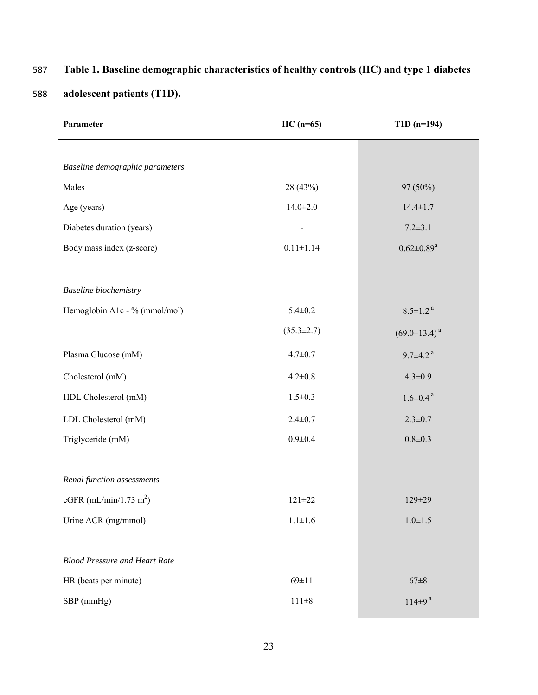## 587 **Table 1. Baseline demographic characteristics of healthy controls (HC) and type 1 diabetes**

## 588 **adolescent patients (T1D).**

| Parameter                            | $HC(n=65)$       | $T1D(n=194)$                 |  |  |  |
|--------------------------------------|------------------|------------------------------|--|--|--|
|                                      |                  |                              |  |  |  |
| Baseline demographic parameters      |                  |                              |  |  |  |
| Males                                | 28 (43%)         | 97 (50%)                     |  |  |  |
| Age (years)                          | $14.0 \pm 2.0$   | $14.4 \pm 1.7$               |  |  |  |
| Diabetes duration (years)            |                  | $7.2 \pm 3.1$                |  |  |  |
| Body mass index (z-score)            | $0.11 \pm 1.14$  | $0.62 \pm 0.89^a$            |  |  |  |
|                                      |                  |                              |  |  |  |
| <b>Baseline</b> biochemistry         |                  |                              |  |  |  |
| Hemoglobin A1c - % (mmol/mol)        | $5.4 \pm 0.2$    | $8.5 \pm 1.2$ <sup>a</sup>   |  |  |  |
|                                      | $(35.3 \pm 2.7)$ | $(69.0 \pm 13.4)^{a}$        |  |  |  |
| Plasma Glucose (mM)                  | $4.7 + 0.7$      | $9.7 \pm 4.2$ <sup>a</sup>   |  |  |  |
| Cholesterol (mM)                     | $4.2 \pm 0.8$    | $4.3 \pm 0.9$                |  |  |  |
| HDL Cholesterol (mM)                 | $1.5 \pm 0.3$    | $1.6 \!\pm\! 0.4$ $^{\rm a}$ |  |  |  |
| LDL Cholesterol (mM)                 | $2.4 \pm 0.7$    | $2.3 \pm 0.7$                |  |  |  |
| Triglyceride (mM)                    | $0.9 + 0.4$      | $0.8 + 0.3$                  |  |  |  |
|                                      |                  |                              |  |  |  |
| Renal function assessments           |                  |                              |  |  |  |
| eGFR (mL/min/1.73 m <sup>2</sup> )   | $121 \pm 22$     | 129±29                       |  |  |  |
| Urine ACR (mg/mmol)                  | $1.1 \pm 1.6$    | $1.0 \pm 1.5$                |  |  |  |
|                                      |                  |                              |  |  |  |
| <b>Blood Pressure and Heart Rate</b> |                  |                              |  |  |  |
| HR (beats per minute)                | $69 \pm 11$      | $67 + 8$                     |  |  |  |
| SBP (mmHg)                           | $111\pm8$        | $114\pm9$ <sup>a</sup>       |  |  |  |
|                                      |                  |                              |  |  |  |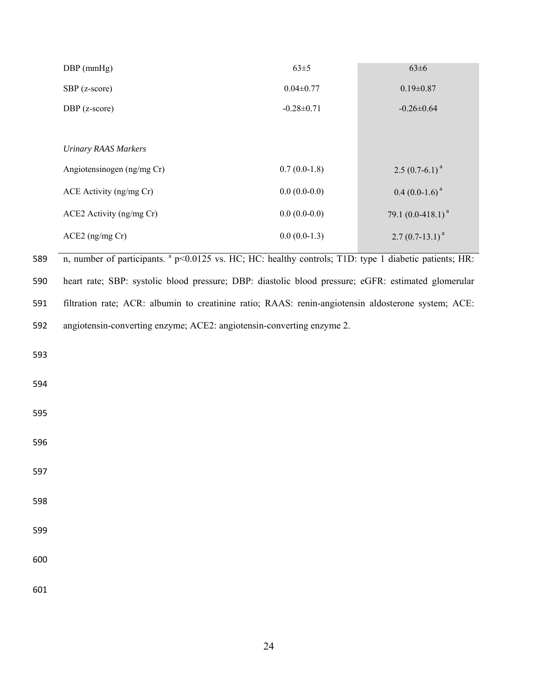| $DBP$ (mmHg)                | 63±5             | 63±6                 |
|-----------------------------|------------------|----------------------|
| $SBP$ (z-score)             | $0.04 \pm 0.77$  | $0.19 \pm 0.87$      |
| $DBP$ (z-score)             | $-0.28 \pm 0.71$ | $-0.26 \pm 0.64$     |
|                             |                  |                      |
| <b>Urinary RAAS Markers</b> |                  |                      |
| Angiotensinogen (ng/mg Cr)  | $0.7(0.0-1.8)$   | $2.5(0.7-6.1)^{a}$   |
| ACE Activity (ng/mg Cr)     | $0.0(0.0-0.0)$   | $0.4(0.0-1.6)^{a}$   |
| $ACE2$ Activity (ng/mg Cr)  | $0.0(0.0-0.0)$   | 79.1 $(0.0-418.1)^a$ |
| $ACE2$ (ng/mg $Cr$ )        | $0.0(0.0-1.3)$   | $2.7(0.7-13.1)^{a}$  |
|                             |                  |                      |

589 n, number of participants. <sup>a</sup> p<0.0125 vs. HC; HC: healthy controls; T1D: type 1 diabetic patients; HR: heart rate; SBP: systolic blood pressure; DBP: diastolic blood pressure; eGFR: estimated glomerular filtration rate; ACR: albumin to creatinine ratio; RAAS: renin-angiotensin aldosterone system; ACE: angiotensin-converting enzyme; ACE2: angiotensin-converting enzyme 2.

593

594

595

596

597

598

599

600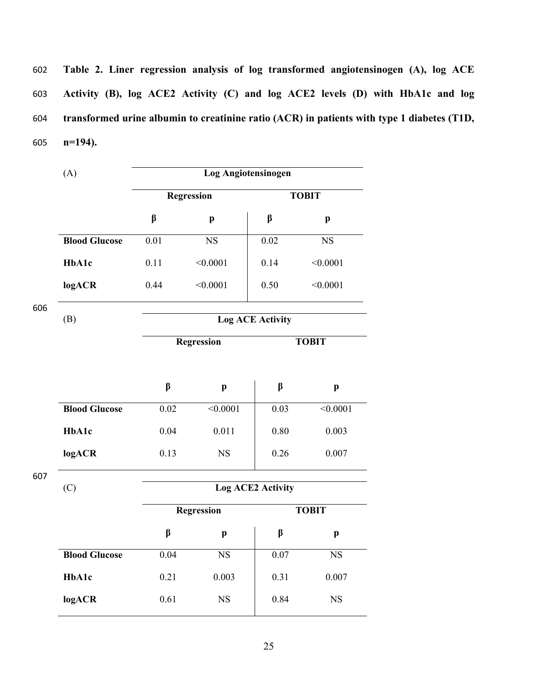**Table 2. Liner regression analysis of log transformed angiotensinogen (A), log ACE Activity (B), log ACE2 Activity (C) and log ACE2 levels (D) with HbA1c and log transformed urine albumin to creatinine ratio (ACR) in patients with type 1 diabetes (T1D,**  605 **n=194).** 

| (A)                  | <b>Log Angiotensinogen</b> |                         |                   |                           |  |  |  |  |  |  |  |
|----------------------|----------------------------|-------------------------|-------------------|---------------------------|--|--|--|--|--|--|--|
|                      |                            | <b>Regression</b>       |                   | <b>TOBIT</b>              |  |  |  |  |  |  |  |
|                      | β                          | $\mathbf{p}$            | $\beta$           | $\mathbf{p}$              |  |  |  |  |  |  |  |
| <b>Blood Glucose</b> | 0.01                       | <b>NS</b>               | 0.02              | <b>NS</b>                 |  |  |  |  |  |  |  |
| <b>HbA1c</b>         | 0.11                       | < 0.0001                | 0.14              | < 0.0001                  |  |  |  |  |  |  |  |
| logACR               | 0.44                       | < 0.0001                | 0.50              | < 0.0001                  |  |  |  |  |  |  |  |
| (B)                  |                            | <b>Log ACE Activity</b> |                   |                           |  |  |  |  |  |  |  |
|                      |                            | <b>Regression</b>       |                   | <b>TOBIT</b>              |  |  |  |  |  |  |  |
|                      | $\beta$                    | $\mathbf p$             | β                 | $\boldsymbol{\mathrm{p}}$ |  |  |  |  |  |  |  |
| <b>Blood Glucose</b> | 0.02                       | < 0.0001                | 0.03              | < 0.0001                  |  |  |  |  |  |  |  |
| HbA1c                | 0.04                       | 0.011                   | 0.80              | 0.003                     |  |  |  |  |  |  |  |
| logACR               | 0.13                       | $_{\rm NS}$             | 0.26              | 0.007                     |  |  |  |  |  |  |  |
| (C)                  | <b>Log ACE2 Activity</b>   |                         |                   |                           |  |  |  |  |  |  |  |
|                      |                            | <b>Regression</b>       | <b>TOBIT</b>      |                           |  |  |  |  |  |  |  |
|                      | $\beta$                    | $\mathbf{p}$            | β                 | $\boldsymbol{\mathrm{p}}$ |  |  |  |  |  |  |  |
| <b>Blood Glucose</b> | 0.04                       | <b>NS</b>               | 0.07              | <b>NS</b>                 |  |  |  |  |  |  |  |
| HbA1c                | 0.21                       | 0.003                   | 0.31              | 0.007                     |  |  |  |  |  |  |  |
| logACR               | 0.61                       | <b>NS</b>               | 0.84<br><b>NS</b> |                           |  |  |  |  |  |  |  |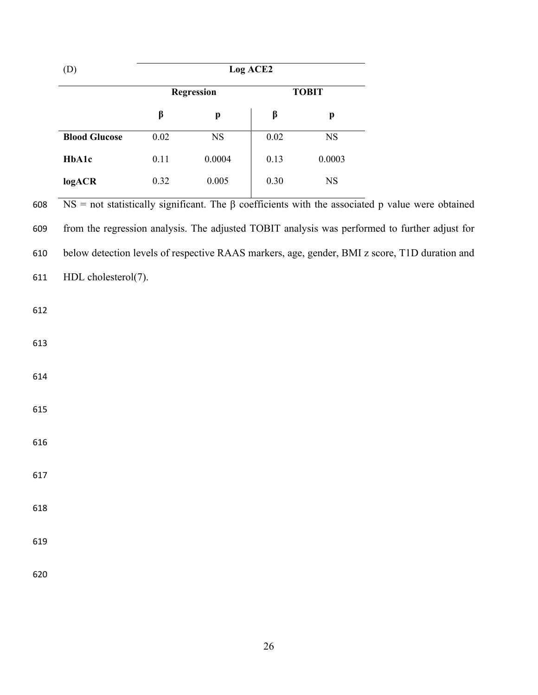|     | (D)                  |      |                           | Log ACE <sub>2</sub> |                           |                                                                                                          |  |
|-----|----------------------|------|---------------------------|----------------------|---------------------------|----------------------------------------------------------------------------------------------------------|--|
|     |                      |      | <b>Regression</b>         |                      | <b>TOBIT</b>              |                                                                                                          |  |
|     |                      | β    | $\boldsymbol{\mathsf{p}}$ | β                    | $\boldsymbol{\mathrm{p}}$ |                                                                                                          |  |
|     | <b>Blood Glucose</b> | 0.02 | $\overline{\text{NS}}$    | 0.02                 | $\overline{\text{NS}}$    |                                                                                                          |  |
|     | <b>HbA1c</b>         | 0.11 | 0.0004                    | 0.13                 | 0.0003                    |                                                                                                          |  |
|     | logACR               | 0.32 | 0.005                     | 0.30                 | $_{\rm NS}$               |                                                                                                          |  |
| 608 |                      |      |                           |                      |                           | $NS = not statistically significant.$ The $\beta$ coefficients with the associated p value were obtained |  |
| 609 |                      |      |                           |                      |                           | from the regression analysis. The adjusted TOBIT analysis was performed to further adjust for            |  |
| 610 |                      |      |                           |                      |                           | below detection levels of respective RAAS markers, age, gender, BMI z score, T1D duration and            |  |
| 611 | HDL cholesterol(7).  |      |                           |                      |                           |                                                                                                          |  |
|     |                      |      |                           |                      |                           |                                                                                                          |  |
| 612 |                      |      |                           |                      |                           |                                                                                                          |  |
| 613 |                      |      |                           |                      |                           |                                                                                                          |  |
|     |                      |      |                           |                      |                           |                                                                                                          |  |
| 614 |                      |      |                           |                      |                           |                                                                                                          |  |
| 615 |                      |      |                           |                      |                           |                                                                                                          |  |
| 616 |                      |      |                           |                      |                           |                                                                                                          |  |
|     |                      |      |                           |                      |                           |                                                                                                          |  |
| 617 |                      |      |                           |                      |                           |                                                                                                          |  |
| 618 |                      |      |                           |                      |                           |                                                                                                          |  |
|     |                      |      |                           |                      |                           |                                                                                                          |  |
| 619 |                      |      |                           |                      |                           |                                                                                                          |  |
| 620 |                      |      |                           |                      |                           |                                                                                                          |  |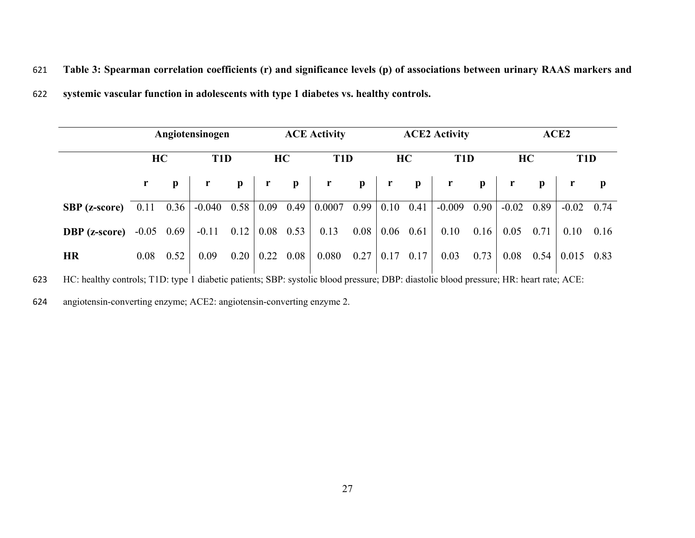# <sup>621</sup>**Table 3: Spearman correlation coefficients (r) and significance levels (p) of associations between urinary RAAS markers and**  <sup>622</sup>**systemic vascular function in adolescents with type 1 diabetes vs. healthy controls.**

|                      | Angiotensinogen        |              |               | <b>ACE Activity</b> |      |              | <b>ACE2</b> Activity   |              |                     | ACE <sub>2</sub> |          |              |         |                  |              |              |
|----------------------|------------------------|--------------|---------------|---------------------|------|--------------|------------------------|--------------|---------------------|------------------|----------|--------------|---------|------------------|--------------|--------------|
|                      | HC<br>T <sub>1</sub> D |              |               | HC                  |      |              | HC<br>T <sub>1</sub> D |              |                     | T <sub>1</sub> D |          | HC           |         | T <sub>1</sub> D |              |              |
|                      | r                      | $\mathbf{p}$ | r             | $\mathbf{p}$        | r    | $\mathbf{p}$ | $\mathbf{r}$           | $\mathbf{p}$ | $\mathbf{r}$        | $\mathbf{p}$     | r        | $\mathbf{p}$ |         | $\mathbf{p}$     |              | $\mathbf{p}$ |
| $SBP$ (z-score)      | 0.11                   | 0.36         | $-0.040$ 0.58 |                     | 0.09 | 0.49         | 0.0007                 |              | $0.99 \,   \, 0.10$ | 0.41             | $-0.009$ | 0.90         | $-0.02$ | 0.89             | $-0.02$ 0.74 |              |
| <b>DBP</b> (z-score) | $-0.05$ 0.69           |              | $-0.11$       | 0.12                | 0.08 | 0.53         | 0.13                   |              | $0.08 \,   \, 0.06$ | 0.61             | 0.10     | 0.16         | 0.05    | 0.71             | 0.10         | 0.16         |
| <b>HR</b>            | 0.08                   | 0.52         | 0.09          | 0.20                | 0.22 | 0.08         | 0.080                  |              | $0.27 \,   \, 0.17$ | 0.17             | 0.03     | 0.73         | 0.08    | 0.54             | $0.015$ 0.83 |              |
| $TT \cap 1$ 1.1      |                        |              |               |                     |      |              |                        |              |                     |                  |          |              |         |                  | $\sqrt{2}$   |              |

623 HC: healthy controls; T1D: type 1 diabetic patients; SBP: systolic blood pressure; DBP: diastolic blood pressure; HR: heart rate; ACE:

624 angiotensin-converting enzyme; ACE2: angiotensin-converting enzyme 2.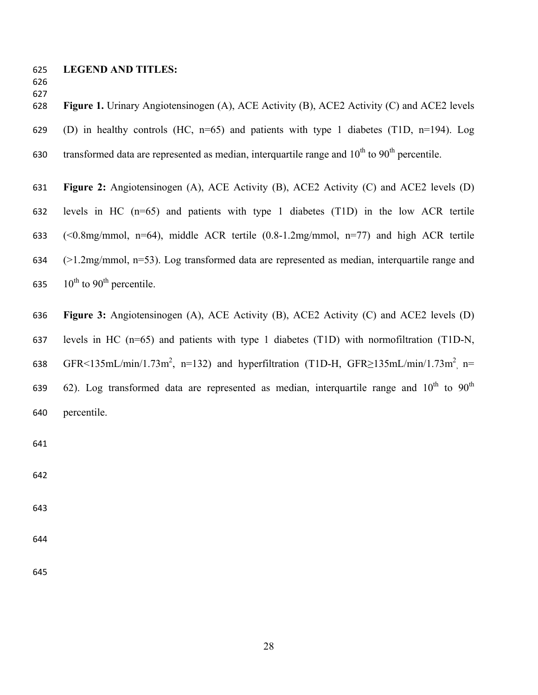- **LEGEND AND TITLES:**
- 

**Figure 1.** Urinary Angiotensinogen (A), ACE Activity (B), ACE2 Activity (C) and ACE2 levels (D) in healthy controls (HC, n=65) and patients with type 1 diabetes (T1D, n=194). Log 630 transformed data are represented as median, interquartile range and  $10^{th}$  to  $90^{th}$  percentile. **Figure 2:** Angiotensinogen (A), ACE Activity (B), ACE2 Activity (C) and ACE2 levels (D) levels in HC (n=65) and patients with type 1 diabetes (T1D) in the low ACR tertile (<0.8mg/mmol, n=64), middle ACR tertile (0.8-1.2mg/mmol, n=77) and high ACR tertile (>1.2mg/mmol, n=53). Log transformed data are represented as median, interquartile range and  $10^{th}$  to 90<sup>th</sup> percentile. **Figure 3:** Angiotensinogen (A), ACE Activity (B), ACE2 Activity (C) and ACE2 levels (D) levels in HC (n=65) and patients with type 1 diabetes (T1D) with normofiltration (T1D-N, 638 GFR<135mL/min/1.73m<sup>2</sup>, n=132) and hyperfiltration (T1D-H, GFR≥135mL/min/1.73m<sup>2</sup>, n=

62). Log transformed data are represented as median, interquartile range and  $10^{th}$  to  $90^{th}$ percentile.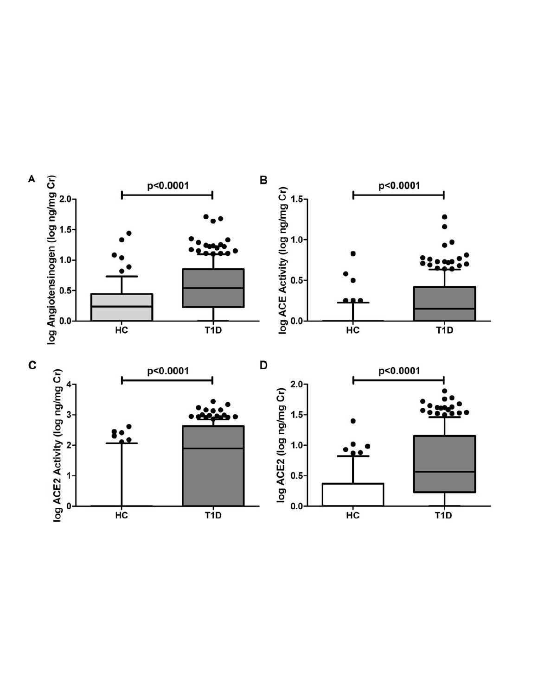

 $\boldsymbol{\mathsf{A}}$ 

 $\mathbf c$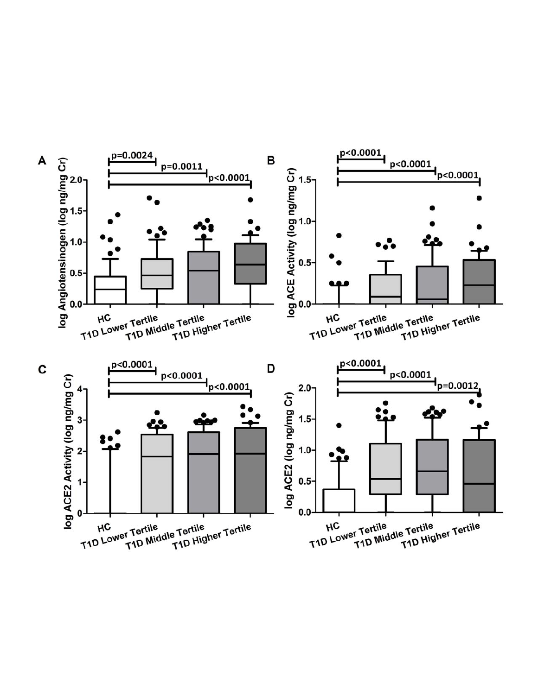